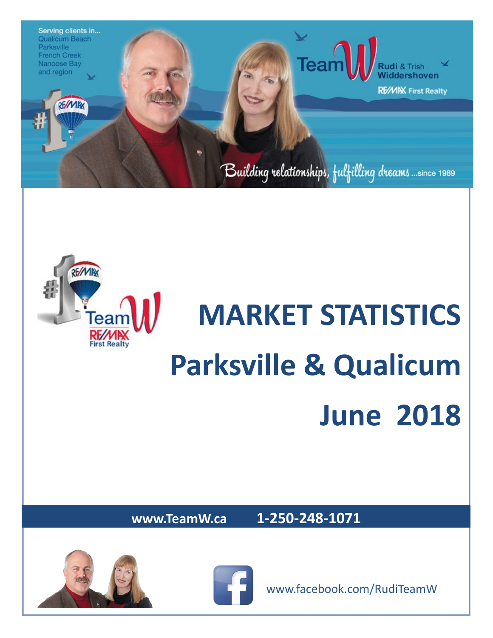



# **MARKET STATISTICS Parksville & Qualicum June 2018**

**www.TeamW.ca 1-250-248-1071** 







www.facebook.com/RudiTeamW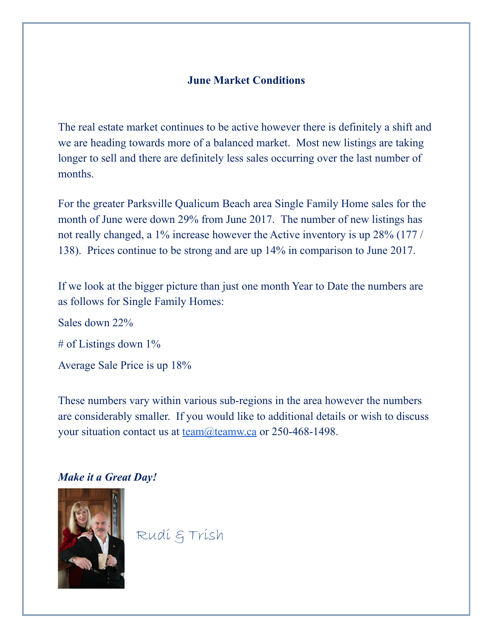#### **June Market Conditions**

The real estate market continues to be active however there is definitely a shift and we are heading towards more of a balanced market. Most new listings are taking longer to sell and there are definitely less sales occurring over the last number of months.

For the greater Parksville Qualicum Beach area Single Family Home sales for the month of June were down 29% from June 2017. The number of new listings has not really changed, a 1% increase however the Active inventory is up 28% (177 / 138). Prices continue to be strong and are up 14% in comparison to June 2017.

If we look at the bigger picture than just one month Year to Date the numbers are as follows for Single Family Homes:

Sales down 22% # of Listings down 1% Average Sale Price is up 18%

These numbers vary within various sub-regions in the area however the numbers are considerably smaller. If you would like to additional details or wish to discuss your situation contact us at <u>team@teamw.ca</u> or 250-468-1498.

#### *Make it a Great Day!*



Rudi & Trish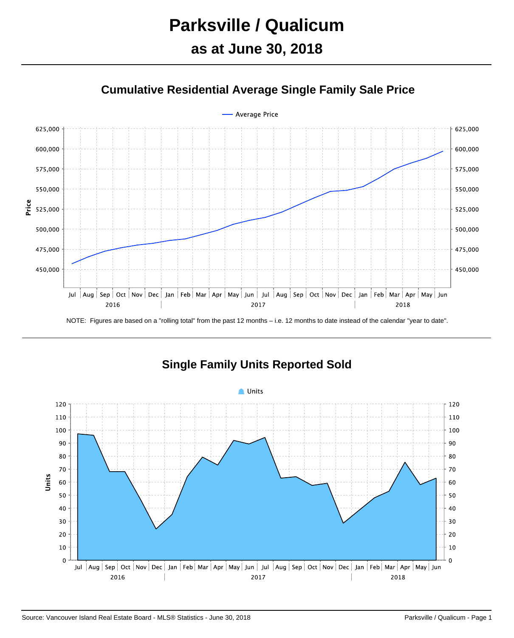## **Parksville / Qualicum**

## **as at June 30, 2018**





NOTE: Figures are based on a "rolling total" from the past 12 months – i.e. 12 months to date instead of the calendar "year to date".



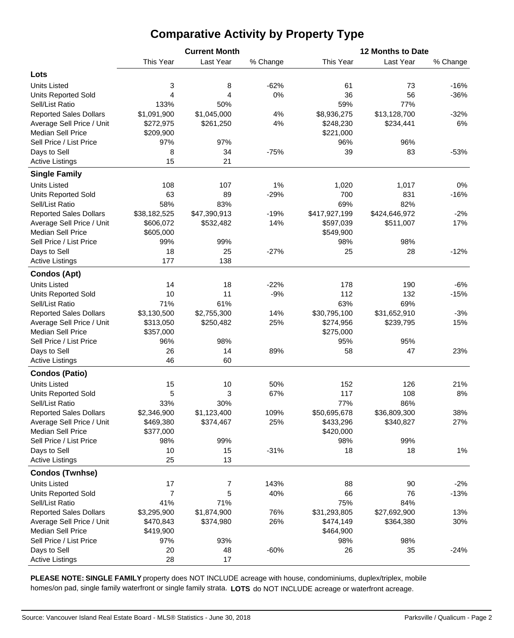## **Comparative Activity by Property Type**

|                                                       |                           | <b>Current Month</b> |          | 12 Months to Date          |                            |              |  |  |  |  |
|-------------------------------------------------------|---------------------------|----------------------|----------|----------------------------|----------------------------|--------------|--|--|--|--|
|                                                       | This Year                 | Last Year            | % Change | This Year                  | Last Year                  | % Change     |  |  |  |  |
| Lots                                                  |                           |                      |          |                            |                            |              |  |  |  |  |
| <b>Units Listed</b>                                   | 3                         | 8                    | $-62%$   | 61                         | 73                         | $-16%$       |  |  |  |  |
| <b>Units Reported Sold</b>                            | 4                         | 4                    | 0%       | 36                         | 56                         | $-36%$       |  |  |  |  |
| Sell/List Ratio                                       | 133%                      | 50%                  |          | 59%                        | 77%                        |              |  |  |  |  |
| <b>Reported Sales Dollars</b>                         | \$1,091,900               | \$1,045,000          | 4%       | \$8,936,275                | \$13,128,700               | $-32%$       |  |  |  |  |
| Average Sell Price / Unit                             | \$272,975                 | \$261,250            | 4%       | \$248,230                  | \$234,441                  | 6%           |  |  |  |  |
| <b>Median Sell Price</b>                              | \$209,900                 |                      |          | \$221,000                  |                            |              |  |  |  |  |
| Sell Price / List Price                               | 97%                       | 97%                  |          | 96%                        | 96%                        |              |  |  |  |  |
| Days to Sell                                          | 8                         | 34                   | $-75%$   | 39                         | 83                         | $-53%$       |  |  |  |  |
| <b>Active Listings</b>                                | 15                        | 21                   |          |                            |                            |              |  |  |  |  |
| <b>Single Family</b>                                  |                           |                      |          |                            |                            |              |  |  |  |  |
| <b>Units Listed</b>                                   | 108                       | 107                  | 1%       | 1,020                      | 1,017                      | 0%           |  |  |  |  |
|                                                       | 63                        | 89                   | $-29%$   | 700                        | 831                        | $-16%$       |  |  |  |  |
| <b>Units Reported Sold</b><br>Sell/List Ratio         | 58%                       | 83%                  |          | 69%                        | 82%                        |              |  |  |  |  |
| <b>Reported Sales Dollars</b>                         |                           |                      | $-19%$   |                            |                            |              |  |  |  |  |
|                                                       | \$38,182,525<br>\$606,072 | \$47,390,913         | 14%      | \$417,927,199<br>\$597,039 | \$424,646,972<br>\$511,007 | $-2%$<br>17% |  |  |  |  |
| Average Sell Price / Unit<br><b>Median Sell Price</b> |                           | \$532,482            |          |                            |                            |              |  |  |  |  |
|                                                       | \$605,000                 |                      |          | \$549,900                  | 98%                        |              |  |  |  |  |
| Sell Price / List Price                               | 99%                       | 99%                  |          | 98%                        |                            |              |  |  |  |  |
| Days to Sell                                          | 18<br>177                 | 25<br>138            | $-27%$   | 25                         | 28                         | $-12%$       |  |  |  |  |
| <b>Active Listings</b>                                |                           |                      |          |                            |                            |              |  |  |  |  |
| <b>Condos (Apt)</b>                                   |                           |                      |          |                            |                            |              |  |  |  |  |
| <b>Units Listed</b>                                   | 14                        | 18                   | $-22%$   | 178                        | 190                        | $-6%$        |  |  |  |  |
| <b>Units Reported Sold</b>                            | 10                        | 11                   | $-9%$    | 112                        | 132                        | $-15%$       |  |  |  |  |
| Sell/List Ratio                                       | 71%                       | 61%                  |          | 63%                        | 69%                        |              |  |  |  |  |
| <b>Reported Sales Dollars</b>                         | \$3,130,500               | \$2,755,300          | 14%      | \$30,795,100               | \$31,652,910               | $-3%$        |  |  |  |  |
| Average Sell Price / Unit                             | \$313,050                 | \$250,482            | 25%      | \$274,956                  | \$239,795                  | 15%          |  |  |  |  |
| <b>Median Sell Price</b>                              | \$357,000                 |                      |          | \$275,000                  |                            |              |  |  |  |  |
| Sell Price / List Price                               | 96%                       | 98%                  |          | 95%                        | 95%                        |              |  |  |  |  |
| Days to Sell                                          | 26                        | 14                   | 89%      | 58                         | 47                         | 23%          |  |  |  |  |
| <b>Active Listings</b>                                | 46                        | 60                   |          |                            |                            |              |  |  |  |  |
| <b>Condos (Patio)</b>                                 |                           |                      |          |                            |                            |              |  |  |  |  |
| <b>Units Listed</b>                                   | 15                        | 10                   | 50%      | 152                        | 126                        | 21%          |  |  |  |  |
| <b>Units Reported Sold</b>                            | 5                         | 3                    | 67%      | 117                        | 108                        | 8%           |  |  |  |  |
| Sell/List Ratio                                       | 33%                       | 30%                  |          | 77%                        | 86%                        |              |  |  |  |  |
| <b>Reported Sales Dollars</b>                         | \$2,346,900               | \$1,123,400          | 109%     | \$50,695,678               | \$36,809,300               | 38%          |  |  |  |  |
| Average Sell Price / Unit                             | \$469,380                 | \$374,467            | 25%      | \$433,296                  | \$340,827                  | 27%          |  |  |  |  |
| <b>Median Sell Price</b>                              | \$377,000                 |                      |          | \$420,000                  |                            |              |  |  |  |  |
| Sell Price / List Price                               | 98%                       | 99%                  |          | 98%                        | 99%                        |              |  |  |  |  |
| Days to Sell                                          | 10                        | 15                   | $-31%$   | 18                         | 18                         | 1%           |  |  |  |  |
| <b>Active Listings</b>                                | 25                        | 13                   |          |                            |                            |              |  |  |  |  |
| <b>Condos (Twnhse)</b>                                |                           |                      |          |                            |                            |              |  |  |  |  |
| <b>Units Listed</b>                                   | 17                        | 7                    | 143%     | 88                         | 90                         | $-2%$        |  |  |  |  |
| <b>Units Reported Sold</b>                            | $\overline{7}$            | 5                    | 40%      | 66                         | 76                         | $-13%$       |  |  |  |  |
| Sell/List Ratio                                       | 41%                       | 71%                  |          | 75%                        | 84%                        |              |  |  |  |  |
| <b>Reported Sales Dollars</b>                         | \$3,295,900               | \$1,874,900          | 76%      | \$31,293,805               | \$27,692,900               | 13%          |  |  |  |  |
| Average Sell Price / Unit                             | \$470,843                 | \$374,980            | 26%      | \$474,149                  | \$364,380                  | 30%          |  |  |  |  |
| <b>Median Sell Price</b>                              | \$419,900                 |                      |          | \$464,900                  |                            |              |  |  |  |  |
| Sell Price / List Price                               | 97%                       | 93%                  |          | 98%                        | 98%                        |              |  |  |  |  |
| Days to Sell                                          | 20                        | 48                   | $-60%$   | 26                         | 35                         | $-24%$       |  |  |  |  |
| <b>Active Listings</b>                                | 28                        | 17                   |          |                            |                            |              |  |  |  |  |

**PLEASE NOTE: SINGLE FAMILY** property does NOT INCLUDE acreage with house, condominiums, duplex/triplex, mobile homes/on pad, single family waterfront or single family strata. **LOTS** do NOT INCLUDE acreage or waterfront acreage.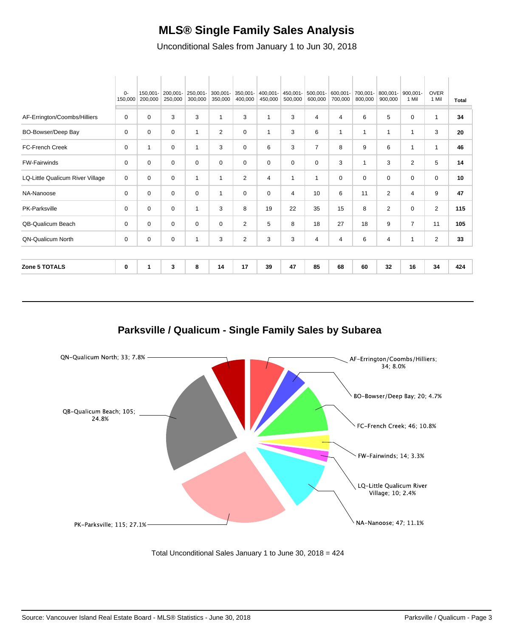#### **MLS® Single Family Sales Analysis**

Unconditional Sales from January 1 to Jun 30, 2018

|                                  | 0-<br>150,000 | 150,001-<br>200,000 | 200,001-<br>250,000 | 250,001-<br>300,000 | 300,001-<br>350,000 | 350,001-<br>400,000 | 400,001-<br>450,000 | 450,001-<br>500,000 | 500,001-<br>600,000 | 600,001-<br>700,000 | 700,001-<br>800,000 | 800,001-<br>900,000 | 900,001-<br>1 Mil       | <b>OVER</b><br>1 Mil | <b>Total</b> |
|----------------------------------|---------------|---------------------|---------------------|---------------------|---------------------|---------------------|---------------------|---------------------|---------------------|---------------------|---------------------|---------------------|-------------------------|----------------------|--------------|
|                                  | 0             | 0                   | 3                   | 3                   | 1                   | 3                   | 1                   | 3                   | 4                   | 4                   | 6                   | 5                   | $\Omega$                | $\mathbf{1}$         | 34           |
| AF-Errington/Coombs/Hilliers     |               |                     |                     |                     |                     |                     |                     |                     |                     |                     |                     |                     |                         |                      |              |
| <b>BO-Bowser/Deep Bay</b>        | 0             | $\mathbf 0$         | $\mathbf 0$         | $\mathbf{1}$        | $\overline{2}$      | 0                   | 1                   | 3                   | 6                   | -1                  | 1                   | 1                   | $\overline{\mathbf{1}}$ | 3                    | 20           |
| FC-French Creek                  | 0             | $\mathbf{1}$        | 0                   | $\mathbf{1}$        | 3                   | 0                   | 6                   | 3                   | $\overline{7}$      | 8                   | 9                   | 6                   | -1                      | $\mathbf{1}$         | 46           |
| <b>FW-Fairwinds</b>              | 0             | 0                   | 0                   | 0                   | 0                   | 0                   | 0                   | $\Omega$            | 0                   | 3                   | $\mathbf{1}$        | 3                   | 2                       | 5                    | 14           |
| LQ-Little Qualicum River Village | 0             | $\mathbf 0$         | $\mathbf 0$         | $\mathbf{1}$        | $\mathbf{1}$        | $\overline{2}$      | 4                   | $\mathbf{1}$        | $\mathbf 1$         | 0                   | 0                   | 0                   | $\mathbf 0$             | $\mathbf 0$          | 10           |
| NA-Nanoose                       | 0             | 0                   | 0                   | 0                   | 1                   | 0                   | 0                   | 4                   | 10                  | 6                   | 11                  | $\overline{2}$      | 4                       | 9                    | 47           |
| PK-Parksville                    | 0             | $\mathbf 0$         | $\mathbf 0$         | $\mathbf{1}$        | 3                   | 8                   | 19                  | 22                  | 35                  | 15                  | 8                   | $\overline{2}$      | $\Omega$                | 2                    | 115          |
| QB-Qualicum Beach                | 0             | 0                   | 0                   | 0                   | 0                   | $\overline{2}$      | 5                   | 8                   | 18                  | 27                  | 18                  | 9                   | $\overline{7}$          | 11                   | 105          |
| <b>ON-Qualicum North</b>         | 0             | 0                   | 0                   | $\mathbf{1}$        | 3                   | 2                   | 3                   | 3                   | 4                   | 4                   | 6                   | 4                   | -1                      | 2                    | 33           |
|                                  |               |                     |                     |                     |                     |                     |                     |                     |                     |                     |                     |                     |                         |                      |              |
| <b>Zone 5 TOTALS</b>             | 0             | 1                   | 3                   | 8                   | 14                  | 17                  | 39                  | 47                  | 85                  | 68                  | 60                  | 32                  | 16                      | 34                   | 424          |
|                                  |               |                     |                     |                     |                     |                     |                     |                     |                     |                     |                     |                     |                         |                      |              |

**Parksville / Qualicum - Single Family Sales by Subarea**



Total Unconditional Sales January 1 to June 30, 2018 = 424